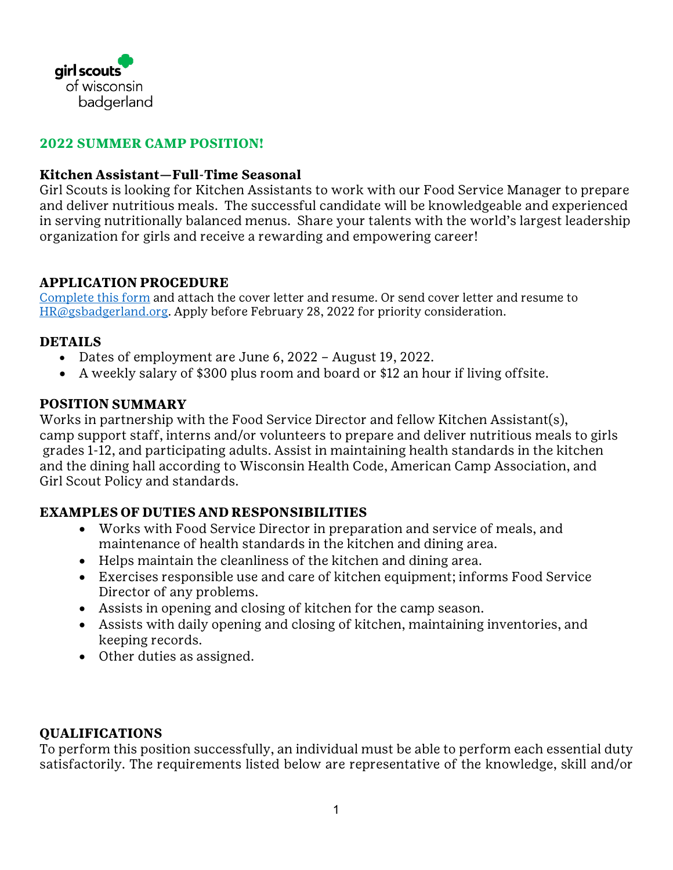

#### **2022 SUMMER CAMP POSITION!**

#### **Kitchen Assistant—Full-Time Seasonal**

Girl Scouts is looking for Kitchen Assistants to work with our Food Service Manager to prepare and deliver nutritious meals. The successful candidate will be knowledgeable and experienced in serving nutritionally balanced menus. Share your talents with the world's largest leadership organization for girls and receive a rewarding and empowering career!

### **APPLICATION PROCEDURE**

[Complete this form](https://girlscoutsbadgerland.wufoo.com/forms/st4083512micfh/) and attach the cover letter and resume. Or send cover letter and resume to [HR@gsbadgerland.org.](mailto:HR@gsbadgerland.org) Apply before February 28, 2022 for priority consideration.

### **DETAILS**

- Dates of employment are June 6, 2022 August 19, 2022.
- A weekly salary of \$300 plus room and board or \$12 an hour if living offsite.

### **POSITION SUMMARY**

Works in partnership with the Food Service Director and fellow Kitchen Assistant(s), camp support staff, interns and/or volunteers to prepare and deliver nutritious meals to girls grades 1-12, and participating adults. Assist in maintaining health standards in the kitchen and the dining hall according to Wisconsin Health Code, American Camp Association, and Girl Scout Policy and standards.

# **EXAMPLES OF DUTIES AND RESPONSIBILITIES**

- Works with Food Service Director in preparation and service of meals, and maintenance of health standards in the kitchen and dining area.
- Helps maintain the cleanliness of the kitchen and dining area.
- Exercises responsible use and care of kitchen equipment; informs Food Service Director of any problems.
- Assists in opening and closing of kitchen for the camp season.
- Assists with daily opening and closing of kitchen, maintaining inventories, and keeping records.
- Other duties as assigned.

# **QUALIFICATIONS**

To perform this position successfully, an individual must be able to perform each essential duty satisfactorily. The requirements listed below are representative of the knowledge, skill and/or